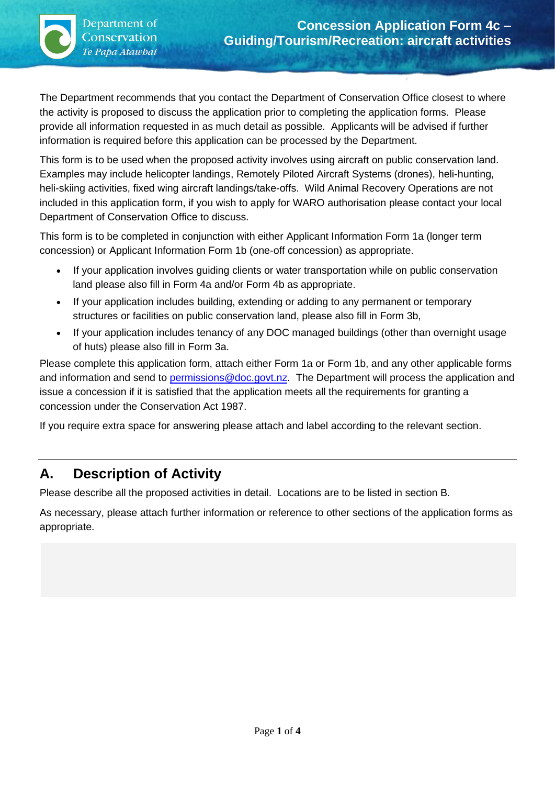$\backslash$ 

The Department recommends that you contact the Department of Conservation Office closest to where the activity is proposed to discuss the application prior to completing the application forms. Please provide all information requested in as much detail as possible. Applicants will be advised if further information is required before this application can be processed by the Department.

This form is to be used when the proposed activity involves using aircraft on public conservation land. Examples may include helicopter landings, Remotely Piloted Aircraft Systems (drones), heli-hunting, heli-skiing activities, fixed wing aircraft landings/take-offs. Wild Animal Recovery Operations are not included in this application form, if you wish to apply for WARO authorisation please contact your local Department of Conservation Office to discuss.

This form is to be completed in conjunction with either Applicant Information Form 1a (longer term concession) or Applicant Information Form 1b (one-off concession) as appropriate.

- If your application involves guiding clients or water transportation while on public conservation land please also fill in Form 4a and/or Form 4b as appropriate.
- If your application includes building, extending or adding to any permanent or temporary structures or facilities on public conservation land, please also fill in Form 3b,
- If your application includes tenancy of any DOC managed buildings (other than overnight usage of huts) please also fill in Form 3a.

Please complete this application form, attach either Form 1a or Form 1b, and any other applicable forms and information and send to [permissions@doc.govt.nz.](mailto:permissions@doc.govt.nz) The Department will process the application and issue a concession if it is satisfied that the application meets all the requirements for granting a concession under the Conservation Act 1987.

If you require extra space for answering please attach and label according to the relevant section.

#### **A. Description of Activity**

Please describe all the proposed activities in detail. Locations are to be listed in section B.

As necessary, please attach further information or reference to other sections of the application forms as appropriate.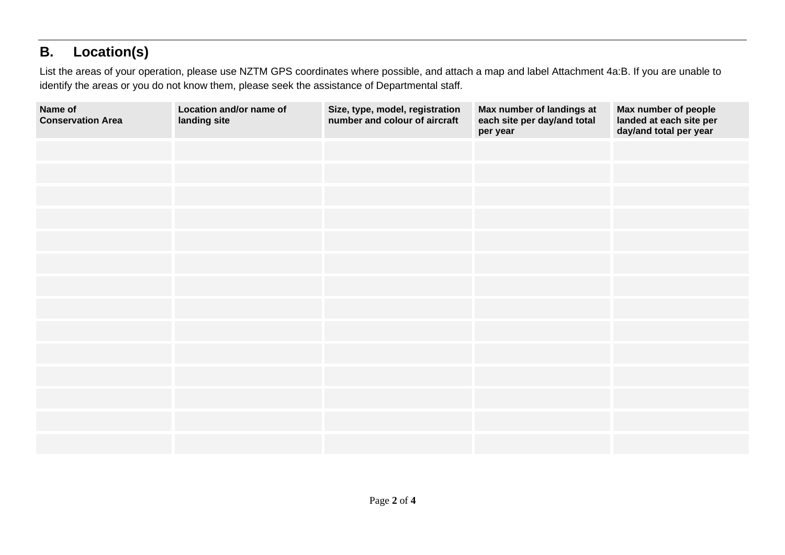# **B. Location(s)**

List the areas of your operation, please use NZTM GPS coordinates where possible, and attach a map and label Attachment 4a:B. If you are unable to identify the areas or you do not know them, please seek the assistance of Departmental staff.

| Name of<br><b>Conservation Area</b> | Location and/or name of<br>landing site | Size, type, model, registration<br>number and colour of aircraft | Max number of landings at<br>each site per day/and total<br>per year | Max number of people<br>landed at each site per<br>day/and total per year |
|-------------------------------------|-----------------------------------------|------------------------------------------------------------------|----------------------------------------------------------------------|---------------------------------------------------------------------------|
|                                     |                                         |                                                                  |                                                                      |                                                                           |
|                                     |                                         |                                                                  |                                                                      |                                                                           |
|                                     |                                         |                                                                  |                                                                      |                                                                           |
|                                     |                                         |                                                                  |                                                                      |                                                                           |
|                                     |                                         |                                                                  |                                                                      |                                                                           |
|                                     |                                         |                                                                  |                                                                      |                                                                           |
|                                     |                                         |                                                                  |                                                                      |                                                                           |
|                                     |                                         |                                                                  |                                                                      |                                                                           |
|                                     |                                         |                                                                  |                                                                      |                                                                           |
|                                     |                                         |                                                                  |                                                                      |                                                                           |
|                                     |                                         |                                                                  |                                                                      |                                                                           |
|                                     |                                         |                                                                  |                                                                      |                                                                           |
|                                     |                                         |                                                                  |                                                                      |                                                                           |
|                                     |                                         |                                                                  |                                                                      |                                                                           |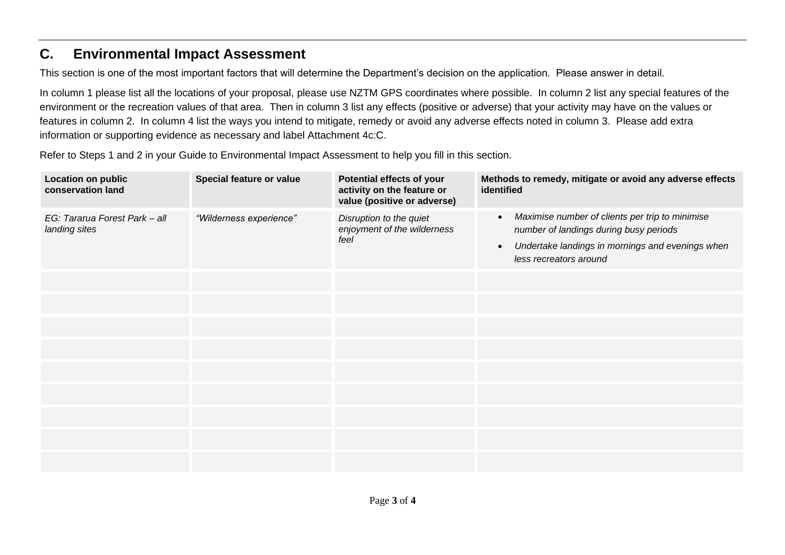## **C. Environmental Impact Assessment**

This section is one of the most important factors that will determine the Department's decision on the application. Please answer in detail.

In column 1 please list all the locations of your proposal, please use NZTM GPS coordinates where possible. In column 2 list any special features of the environment or the recreation values of that area. Then in column 3 list any effects (positive or adverse) that your activity may have on the values or features in column 2. In column 4 list the ways you intend to mitigate, remedy or avoid any adverse effects noted in column 3. Please add extra information or supporting evidence as necessary and label Attachment 4c:C.

Refer to Steps 1 and 2 in your Guide to Environmental Impact Assessment to help you fill in this section.

| <b>Location on public</b><br>conservation land | Special feature or value | Potential effects of your<br>activity on the feature or<br>value (positive or adverse) | Methods to remedy, mitigate or avoid any adverse effects<br>identified                                                                                                                            |
|------------------------------------------------|--------------------------|----------------------------------------------------------------------------------------|---------------------------------------------------------------------------------------------------------------------------------------------------------------------------------------------------|
| EG: Tararua Forest Park - all<br>landing sites | "Wilderness experience"  | Disruption to the quiet<br>enjoyment of the wilderness<br>feel                         | Maximise number of clients per trip to minimise<br>$\bullet$<br>number of landings during busy periods<br>Undertake landings in mornings and evenings when<br>$\bullet$<br>less recreators around |
|                                                |                          |                                                                                        |                                                                                                                                                                                                   |
|                                                |                          |                                                                                        |                                                                                                                                                                                                   |
|                                                |                          |                                                                                        |                                                                                                                                                                                                   |
|                                                |                          |                                                                                        |                                                                                                                                                                                                   |
|                                                |                          |                                                                                        |                                                                                                                                                                                                   |
|                                                |                          |                                                                                        |                                                                                                                                                                                                   |
|                                                |                          |                                                                                        |                                                                                                                                                                                                   |
|                                                |                          |                                                                                        |                                                                                                                                                                                                   |
|                                                |                          |                                                                                        |                                                                                                                                                                                                   |